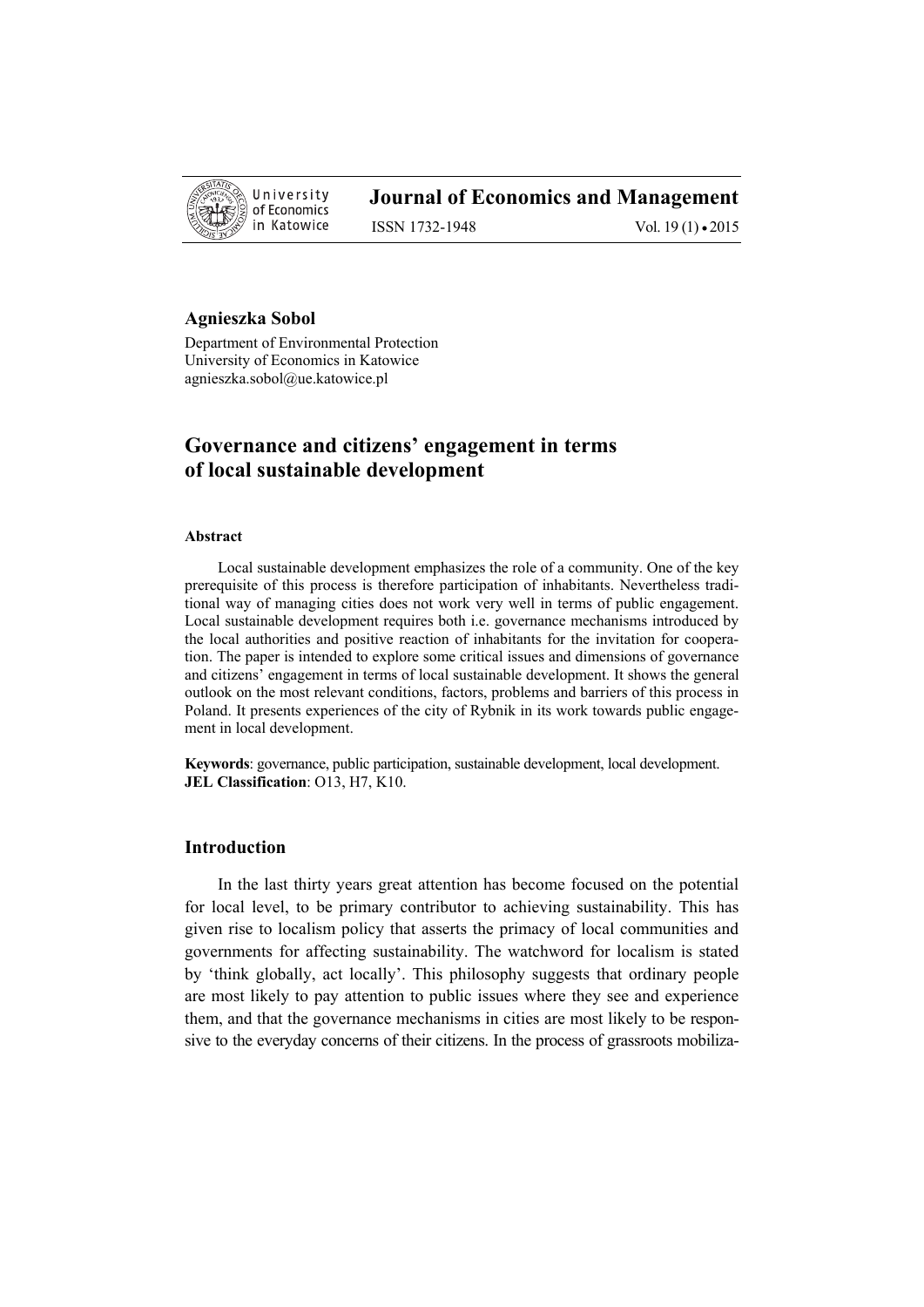

## **Journal of Economics and Management**

ISSN 1732-1948 Vol. 19 (1) • 2015

#### **Agnieszka Sobol**

Department of Environmental Protection University of Economics in Katowice agnieszka.sobol@ue.katowice.pl

# **Governance and citizens' engagement in terms of local sustainable development**

#### **Abstract**

Local sustainable development emphasizes the role of a community. One of the key prerequisite of this process is therefore participation of inhabitants. Nevertheless traditional way of managing cities does not work very well in terms of public engagement. Local sustainable development requires both i.e. governance mechanisms introduced by the local authorities and positive reaction of inhabitants for the invitation for cooperation. The paper is intended to explore some critical issues and dimensions of governance and citizens' engagement in terms of local sustainable development. It shows the general outlook on the most relevant conditions, factors, problems and barriers of this process in Poland. It presents experiences of the city of Rybnik in its work towards public engagement in local development.

**Keywords**: governance, public participation, sustainable development, local development. **JEL Classification**: O13, H7, K10.

### **Introduction**

In the last thirty years great attention has become focused on the potential for local level, to be primary contributor to achieving sustainability. This has given rise to localism policy that asserts the primacy of local communities and governments for affecting sustainability. The watchword for localism is stated by 'think globally, act locally'. This philosophy suggests that ordinary people are most likely to pay attention to public issues where they see and experience them, and that the governance mechanisms in cities are most likely to be responsive to the everyday concerns of their citizens. In the process of grassroots mobiliza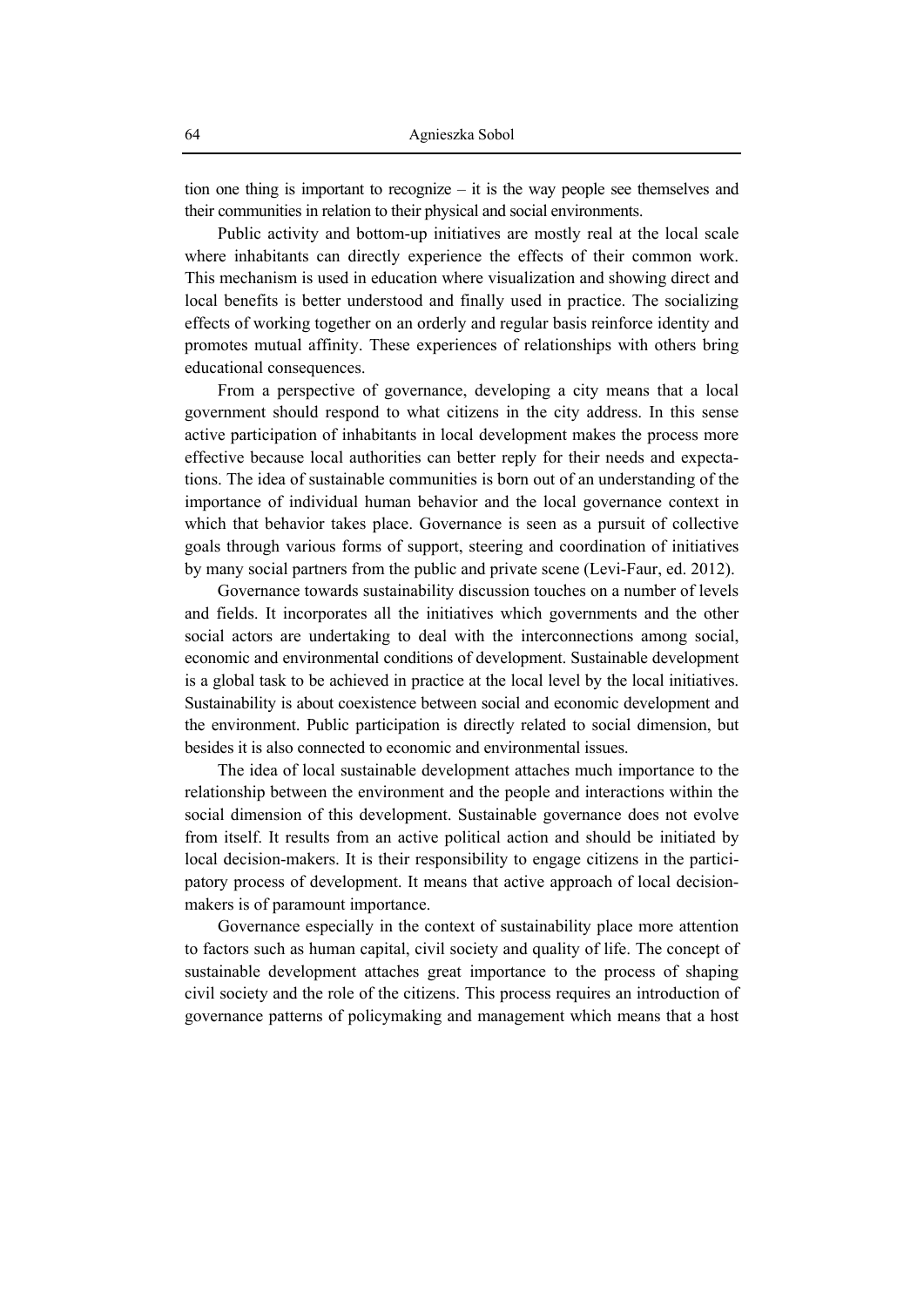tion one thing is important to recognize – it is the way people see themselves and their communities in relation to their physical and social environments.

Public activity and bottom-up initiatives are mostly real at the local scale where inhabitants can directly experience the effects of their common work. This mechanism is used in education where visualization and showing direct and local benefits is better understood and finally used in practice. The socializing effects of working together on an orderly and regular basis reinforce identity and promotes mutual affinity. These experiences of relationships with others bring educational consequences.

From a perspective of governance, developing a city means that a local government should respond to what citizens in the city address. In this sense active participation of inhabitants in local development makes the process more effective because local authorities can better reply for their needs and expectations. The idea of sustainable communities is born out of an understanding of the importance of individual human behavior and the local governance context in which that behavior takes place. Governance is seen as a pursuit of collective goals through various forms of support, steering and coordination of initiatives by many social partners from the public and private scene (Levi-Faur, ed. 2012).

Governance towards sustainability discussion touches on a number of levels and fields. It incorporates all the initiatives which governments and the other social actors are undertaking to deal with the interconnections among social, economic and environmental conditions of development. Sustainable development is a global task to be achieved in practice at the local level by the local initiatives. Sustainability is about coexistence between social and economic development and the environment. Public participation is directly related to social dimension, but besides it is also connected to economic and environmental issues.

The idea of local sustainable development attaches much importance to the relationship between the environment and the people and interactions within the social dimension of this development. Sustainable governance does not evolve from itself. It results from an active political action and should be initiated by local decision-makers. It is their responsibility to engage citizens in the participatory process of development. It means that active approach of local decisionmakers is of paramount importance.

Governance especially in the context of sustainability place more attention to factors such as human capital, civil society and quality of life. The concept of sustainable development attaches great importance to the process of shaping civil society and the role of the citizens. This process requires an introduction of governance patterns of policymaking and management which means that a host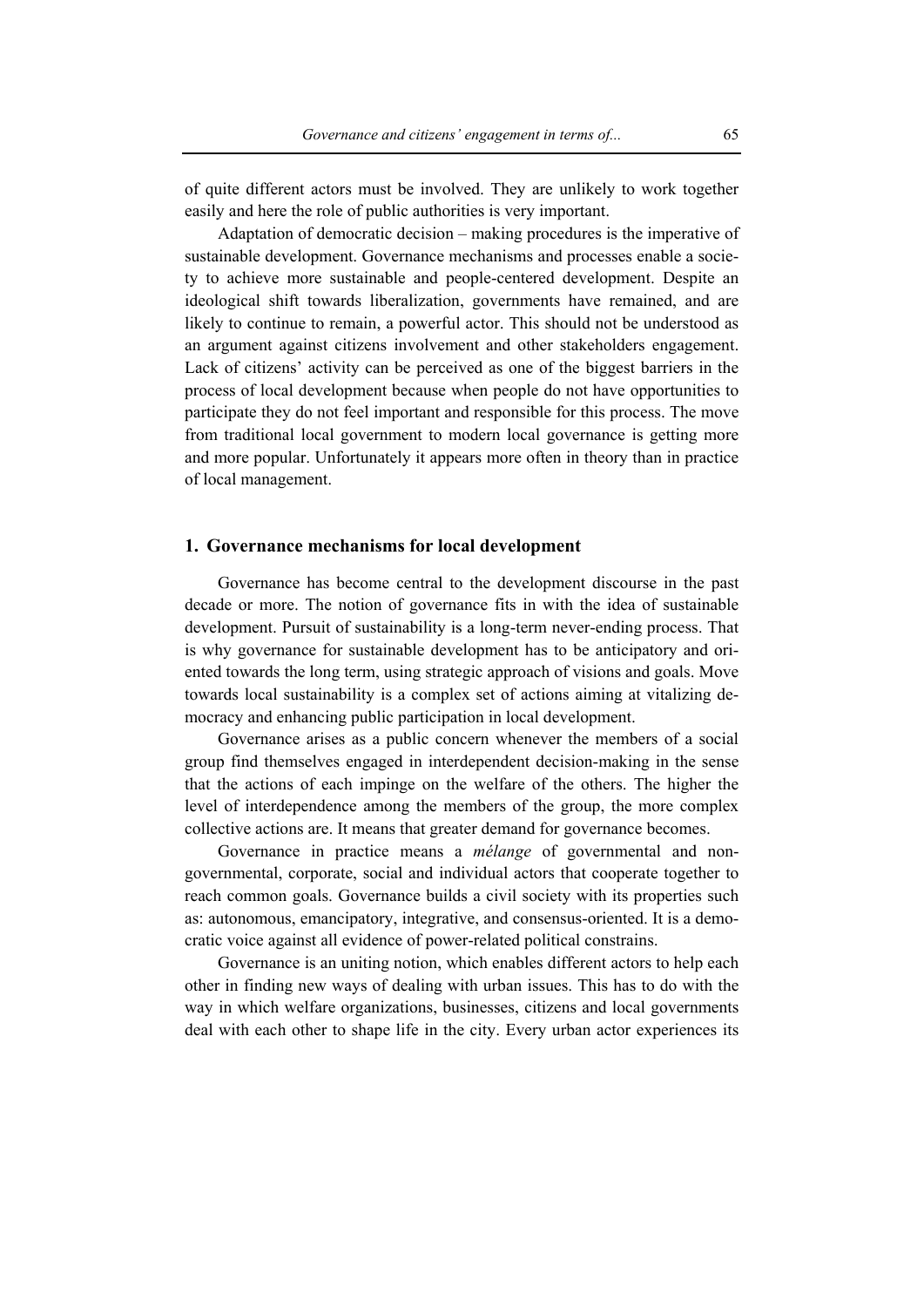of quite different actors must be involved. They are unlikely to work together easily and here the role of public authorities is very important.

Adaptation of democratic decision – making procedures is the imperative of sustainable development. Governance mechanisms and processes enable a society to achieve more sustainable and people-centered development. Despite an ideological shift towards liberalization, governments have remained, and are likely to continue to remain, a powerful actor. This should not be understood as an argument against citizens involvement and other stakeholders engagement. Lack of citizens' activity can be perceived as one of the biggest barriers in the process of local development because when people do not have opportunities to participate they do not feel important and responsible for this process. The move from traditional local government to modern local governance is getting more and more popular. Unfortunately it appears more often in theory than in practice of local management.

#### **1. Governance mechanisms for local development**

Governance has become central to the development discourse in the past decade or more. The notion of governance fits in with the idea of sustainable development. Pursuit of sustainability is a long-term never-ending process. That is why governance for sustainable development has to be anticipatory and oriented towards the long term, using strategic approach of visions and goals. Move towards local sustainability is a complex set of actions aiming at vitalizing democracy and enhancing public participation in local development.

Governance arises as a public concern whenever the members of a social group find themselves engaged in interdependent decision-making in the sense that the actions of each impinge on the welfare of the others. The higher the level of interdependence among the members of the group, the more complex collective actions are. It means that greater demand for governance becomes.

Governance in practice means a *mélange* of governmental and nongovernmental, corporate, social and individual actors that cooperate together to reach common goals. Governance builds a civil society with its properties such as: autonomous, emancipatory, integrative, and consensus-oriented. It is a democratic voice against all evidence of power-related political constrains.

Governance is an uniting notion, which enables different actors to help each other in finding new ways of dealing with urban issues. This has to do with the way in which welfare organizations, businesses, citizens and local governments deal with each other to shape life in the city. Every urban actor experiences its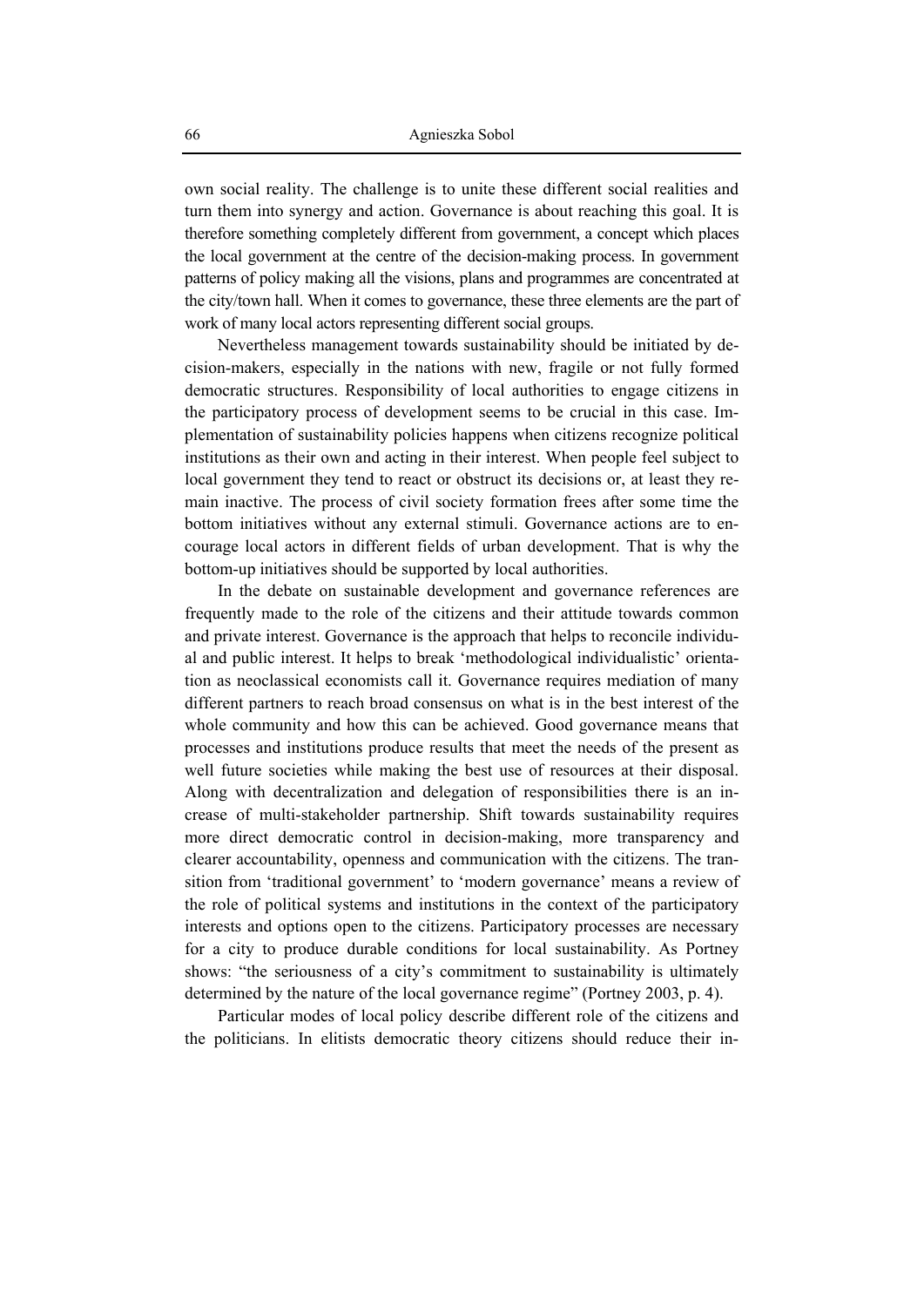own social reality. The challenge is to unite these different social realities and turn them into synergy and action. Governance is about reaching this goal. It is therefore something completely different from government, a concept which places the local government at the centre of the decision-making process. In government patterns of policy making all the visions, plans and programmes are concentrated at the city/town hall. When it comes to governance, these three elements are the part of work of many local actors representing different social groups.

Nevertheless management towards sustainability should be initiated by decision-makers, especially in the nations with new, fragile or not fully formed democratic structures. Responsibility of local authorities to engage citizens in the participatory process of development seems to be crucial in this case. Implementation of sustainability policies happens when citizens recognize political institutions as their own and acting in their interest. When people feel subject to local government they tend to react or obstruct its decisions or, at least they remain inactive. The process of civil society formation frees after some time the bottom initiatives without any external stimuli. Governance actions are to encourage local actors in different fields of urban development. That is why the bottom-up initiatives should be supported by local authorities.

In the debate on sustainable development and governance references are frequently made to the role of the citizens and their attitude towards common and private interest. Governance is the approach that helps to reconcile individual and public interest. It helps to break 'methodological individualistic' orientation as neoclassical economists call it. Governance requires mediation of many different partners to reach broad consensus on what is in the best interest of the whole community and how this can be achieved. Good governance means that processes and institutions produce results that meet the needs of the present as well future societies while making the best use of resources at their disposal. Along with decentralization and delegation of responsibilities there is an increase of multi-stakeholder partnership. Shift towards sustainability requires more direct democratic control in decision-making, more transparency and clearer accountability, openness and communication with the citizens. The transition from 'traditional government' to 'modern governance' means a review of the role of political systems and institutions in the context of the participatory interests and options open to the citizens. Participatory processes are necessary for a city to produce durable conditions for local sustainability. As Portney shows: "the seriousness of a city's commitment to sustainability is ultimately determined by the nature of the local governance regime" (Portney 2003, p. 4).

Particular modes of local policy describe different role of the citizens and the politicians. In elitists democratic theory citizens should reduce their in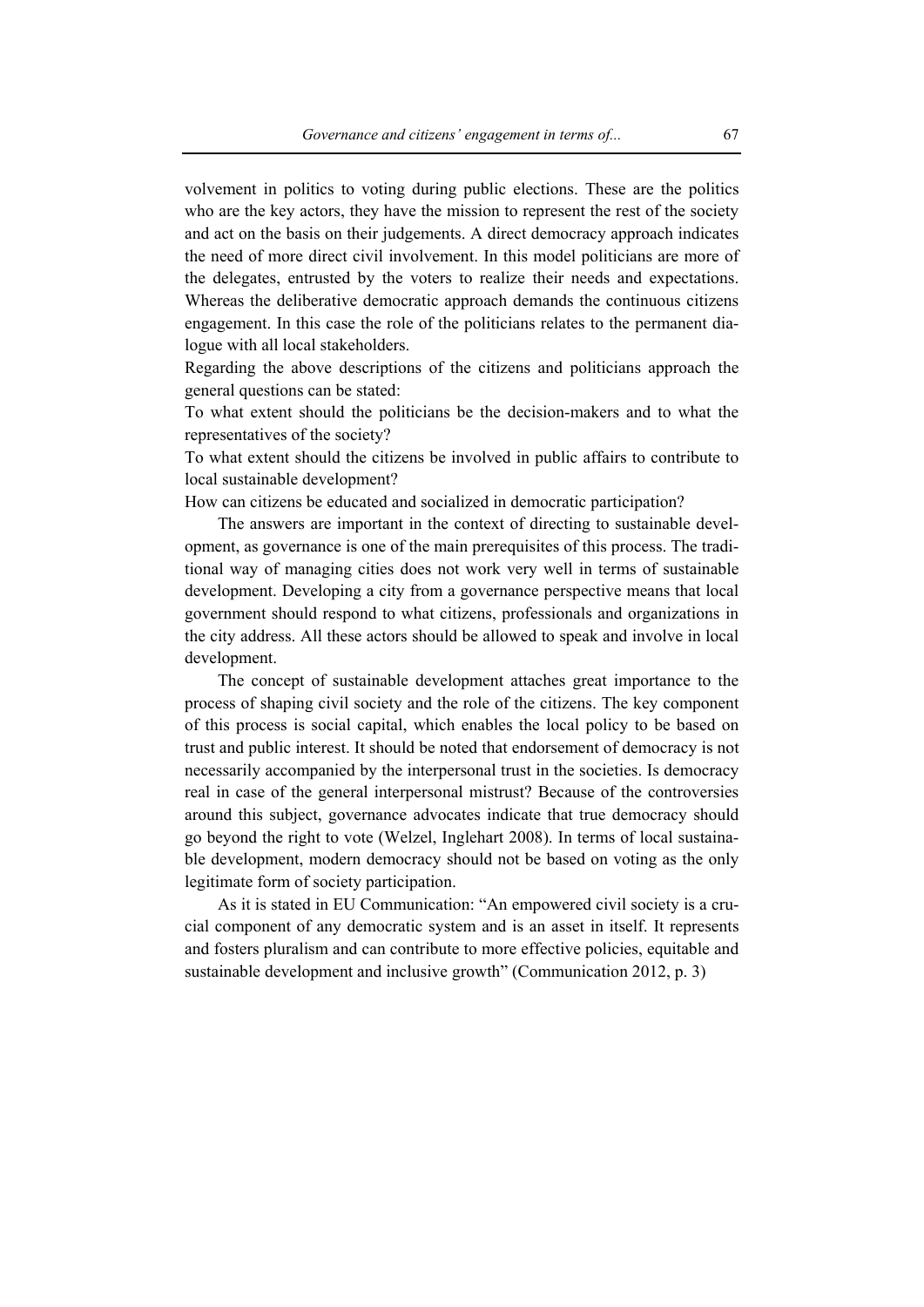volvement in politics to voting during public elections. These are the politics who are the key actors, they have the mission to represent the rest of the society and act on the basis on their judgements. A direct democracy approach indicates the need of more direct civil involvement. In this model politicians are more of the delegates, entrusted by the voters to realize their needs and expectations. Whereas the deliberative democratic approach demands the continuous citizens engagement. In this case the role of the politicians relates to the permanent dialogue with all local stakeholders.

Regarding the above descriptions of the citizens and politicians approach the general questions can be stated:

To what extent should the politicians be the decision-makers and to what the representatives of the society?

To what extent should the citizens be involved in public affairs to contribute to local sustainable development?

How can citizens be educated and socialized in democratic participation?

The answers are important in the context of directing to sustainable development, as governance is one of the main prerequisites of this process. The traditional way of managing cities does not work very well in terms of sustainable development. Developing a city from a governance perspective means that local government should respond to what citizens, professionals and organizations in the city address. All these actors should be allowed to speak and involve in local development.

The concept of sustainable development attaches great importance to the process of shaping civil society and the role of the citizens. The key component of this process is social capital, which enables the local policy to be based on trust and public interest. It should be noted that endorsement of democracy is not necessarily accompanied by the interpersonal trust in the societies. Is democracy real in case of the general interpersonal mistrust? Because of the controversies around this subject, governance advocates indicate that true democracy should go beyond the right to vote (Welzel, Inglehart 2008). In terms of local sustainable development, modern democracy should not be based on voting as the only legitimate form of society participation.

As it is stated in EU Communication: "An empowered civil society is a crucial component of any democratic system and is an asset in itself. It represents and fosters pluralism and can contribute to more effective policies, equitable and sustainable development and inclusive growth" (Communication 2012, p. 3)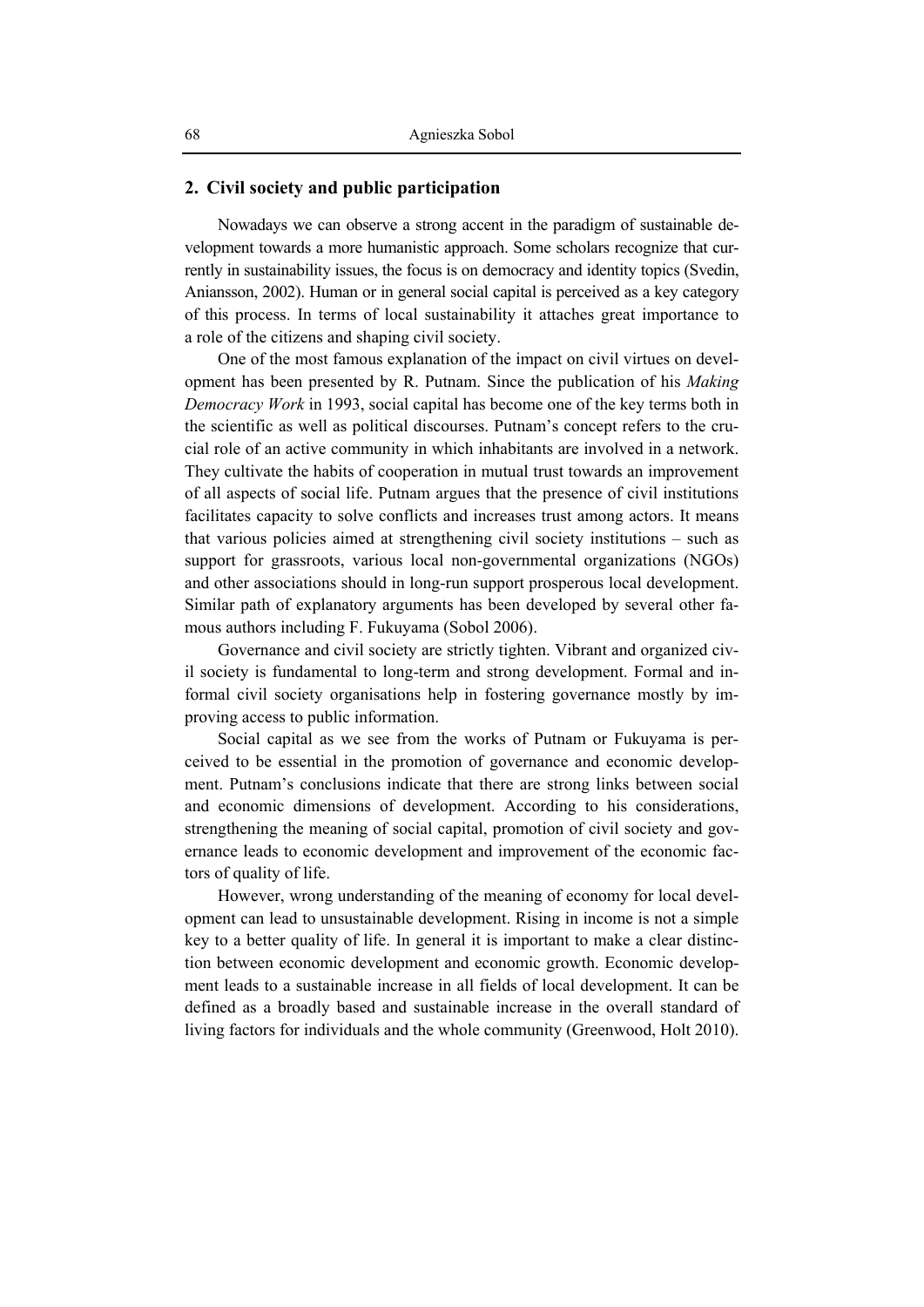#### **2. Civil society and public participation**

Nowadays we can observe a strong accent in the paradigm of sustainable development towards a more humanistic approach. Some scholars recognize that currently in sustainability issues, the focus is on democracy and identity topics (Svedin, Aniansson, 2002). Human or in general social capital is perceived as a key category of this process. In terms of local sustainability it attaches great importance to a role of the citizens and shaping civil society.

One of the most famous explanation of the impact on civil virtues on development has been presented by R. Putnam. Since the publication of his *Making Democracy Work* in 1993, social capital has become one of the key terms both in the scientific as well as political discourses. Putnam's concept refers to the crucial role of an active community in which inhabitants are involved in a network. They cultivate the habits of cooperation in mutual trust towards an improvement of all aspects of social life. Putnam argues that the presence of civil institutions facilitates capacity to solve conflicts and increases trust among actors. It means that various policies aimed at strengthening civil society institutions – such as support for grassroots, various local non-governmental organizations (NGOs) and other associations should in long-run support prosperous local development. Similar path of explanatory arguments has been developed by several other famous authors including F. Fukuyama (Sobol 2006).

Governance and civil society are strictly tighten. Vibrant and organized civil society is fundamental to long-term and strong development. Formal and informal civil society organisations help in fostering governance mostly by improving access to public information.

Social capital as we see from the works of Putnam or Fukuyama is perceived to be essential in the promotion of governance and economic development. Putnam's conclusions indicate that there are strong links between social and economic dimensions of development. According to his considerations, strengthening the meaning of social capital, promotion of civil society and governance leads to economic development and improvement of the economic factors of quality of life.

However, wrong understanding of the meaning of economy for local development can lead to unsustainable development. Rising in income is not a simple key to a better quality of life. In general it is important to make a clear distinction between economic development and economic growth. Economic development leads to a sustainable increase in all fields of local development. It can be defined as a broadly based and sustainable increase in the overall standard of living factors for individuals and the whole community (Greenwood, Holt 2010).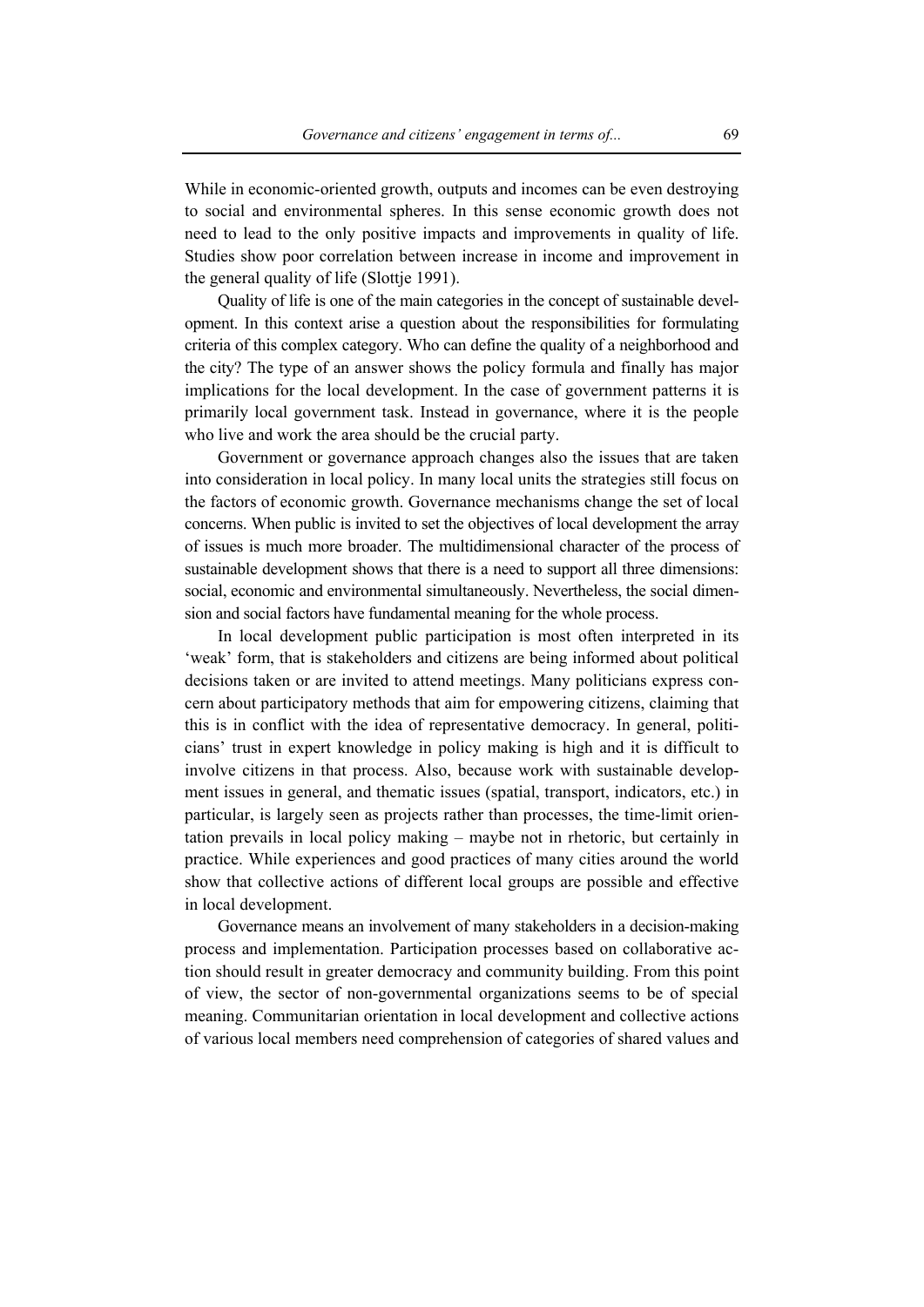While in economic-oriented growth, outputs and incomes can be even destroying to social and environmental spheres. In this sense economic growth does not need to lead to the only positive impacts and improvements in quality of life. Studies show poor correlation between increase in income and improvement in the general quality of life (Slottje 1991).

Quality of life is one of the main categories in the concept of sustainable development. In this context arise a question about the responsibilities for formulating criteria of this complex category. Who can define the quality of a neighborhood and the city? The type of an answer shows the policy formula and finally has major implications for the local development. In the case of government patterns it is primarily local government task. Instead in governance, where it is the people who live and work the area should be the crucial party.

Government or governance approach changes also the issues that are taken into consideration in local policy. In many local units the strategies still focus on the factors of economic growth. Governance mechanisms change the set of local concerns. When public is invited to set the objectives of local development the array of issues is much more broader. The multidimensional character of the process of sustainable development shows that there is a need to support all three dimensions: social, economic and environmental simultaneously. Nevertheless, the social dimension and social factors have fundamental meaning for the whole process.

In local development public participation is most often interpreted in its 'weak' form, that is stakeholders and citizens are being informed about political decisions taken or are invited to attend meetings. Many politicians express concern about participatory methods that aim for empowering citizens, claiming that this is in conflict with the idea of representative democracy. In general, politicians' trust in expert knowledge in policy making is high and it is difficult to involve citizens in that process. Also, because work with sustainable development issues in general, and thematic issues (spatial, transport, indicators, etc.) in particular, is largely seen as projects rather than processes, the time-limit orientation prevails in local policy making – maybe not in rhetoric, but certainly in practice. While experiences and good practices of many cities around the world show that collective actions of different local groups are possible and effective in local development.

Governance means an involvement of many stakeholders in a decision-making process and implementation. Participation processes based on collaborative action should result in greater democracy and community building. From this point of view, the sector of non-governmental organizations seems to be of special meaning. Communitarian orientation in local development and collective actions of various local members need comprehension of categories of shared values and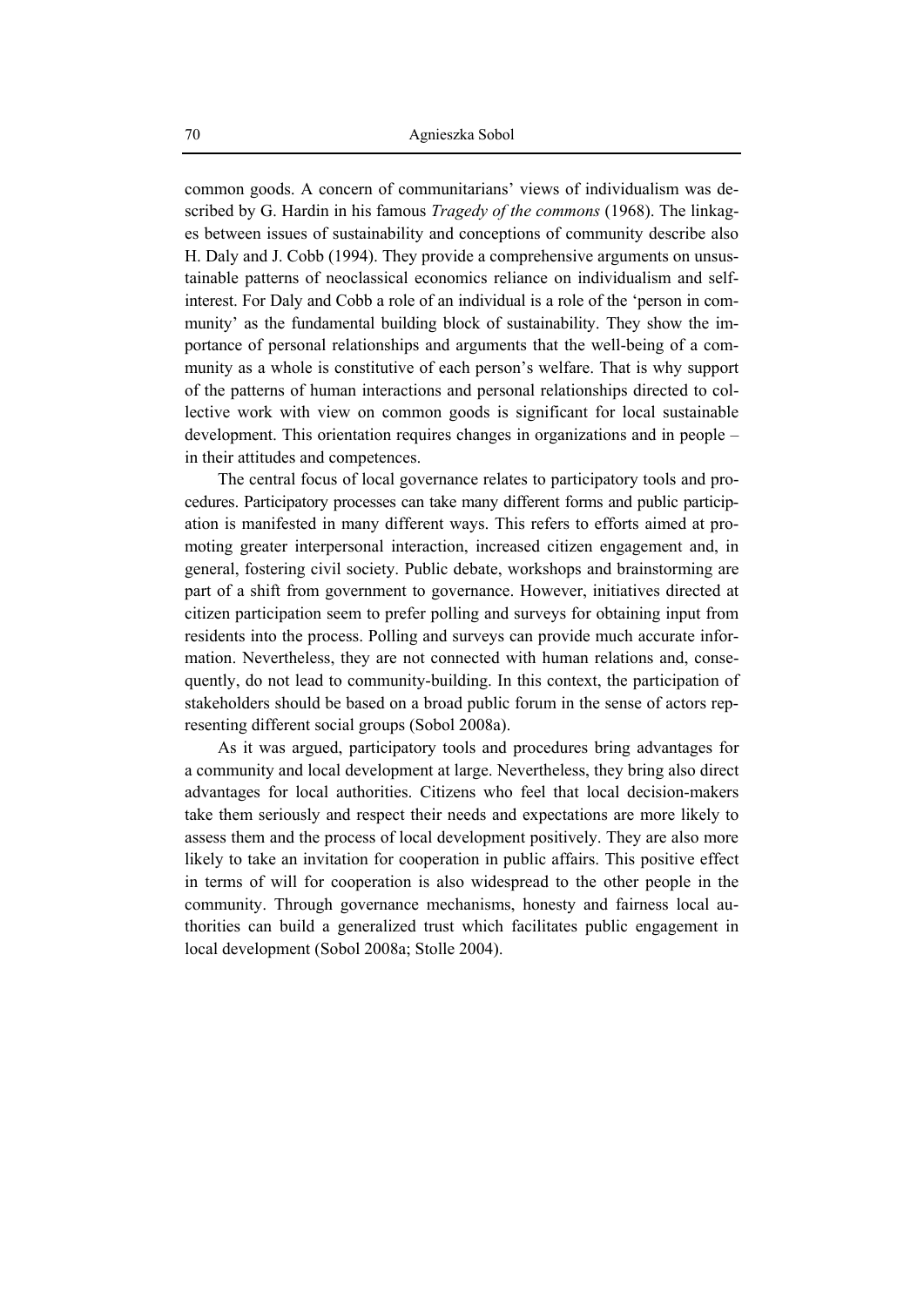common goods. A concern of communitarians' views of individualism was described by G. Hardin in his famous *Tragedy of the commons* (1968). The linkages between issues of sustainability and conceptions of community describe also H. Daly and J. Cobb (1994). They provide a comprehensive arguments on unsustainable patterns of neoclassical economics reliance on individualism and selfinterest. For Daly and Cobb a role of an individual is a role of the 'person in community' as the fundamental building block of sustainability. They show the importance of personal relationships and arguments that the well-being of a community as a whole is constitutive of each person's welfare. That is why support of the patterns of human interactions and personal relationships directed to collective work with view on common goods is significant for local sustainable development. This orientation requires changes in organizations and in people – in their attitudes and competences.

The central focus of local governance relates to participatory tools and procedures. Participatory processes can take many different forms and public participation is manifested in many different ways. This refers to efforts aimed at promoting greater interpersonal interaction, increased citizen engagement and, in general, fostering civil society. Public debate, workshops and brainstorming are part of a shift from government to governance. However, initiatives directed at citizen participation seem to prefer polling and surveys for obtaining input from residents into the process. Polling and surveys can provide much accurate information. Nevertheless, they are not connected with human relations and, consequently, do not lead to community-building. In this context, the participation of stakeholders should be based on a broad public forum in the sense of actors representing different social groups (Sobol 2008a).

As it was argued, participatory tools and procedures bring advantages for a community and local development at large. Nevertheless, they bring also direct advantages for local authorities. Citizens who feel that local decision-makers take them seriously and respect their needs and expectations are more likely to assess them and the process of local development positively. They are also more likely to take an invitation for cooperation in public affairs. This positive effect in terms of will for cooperation is also widespread to the other people in the community. Through governance mechanisms, honesty and fairness local authorities can build a generalized trust which facilitates public engagement in local development (Sobol 2008a; Stolle 2004).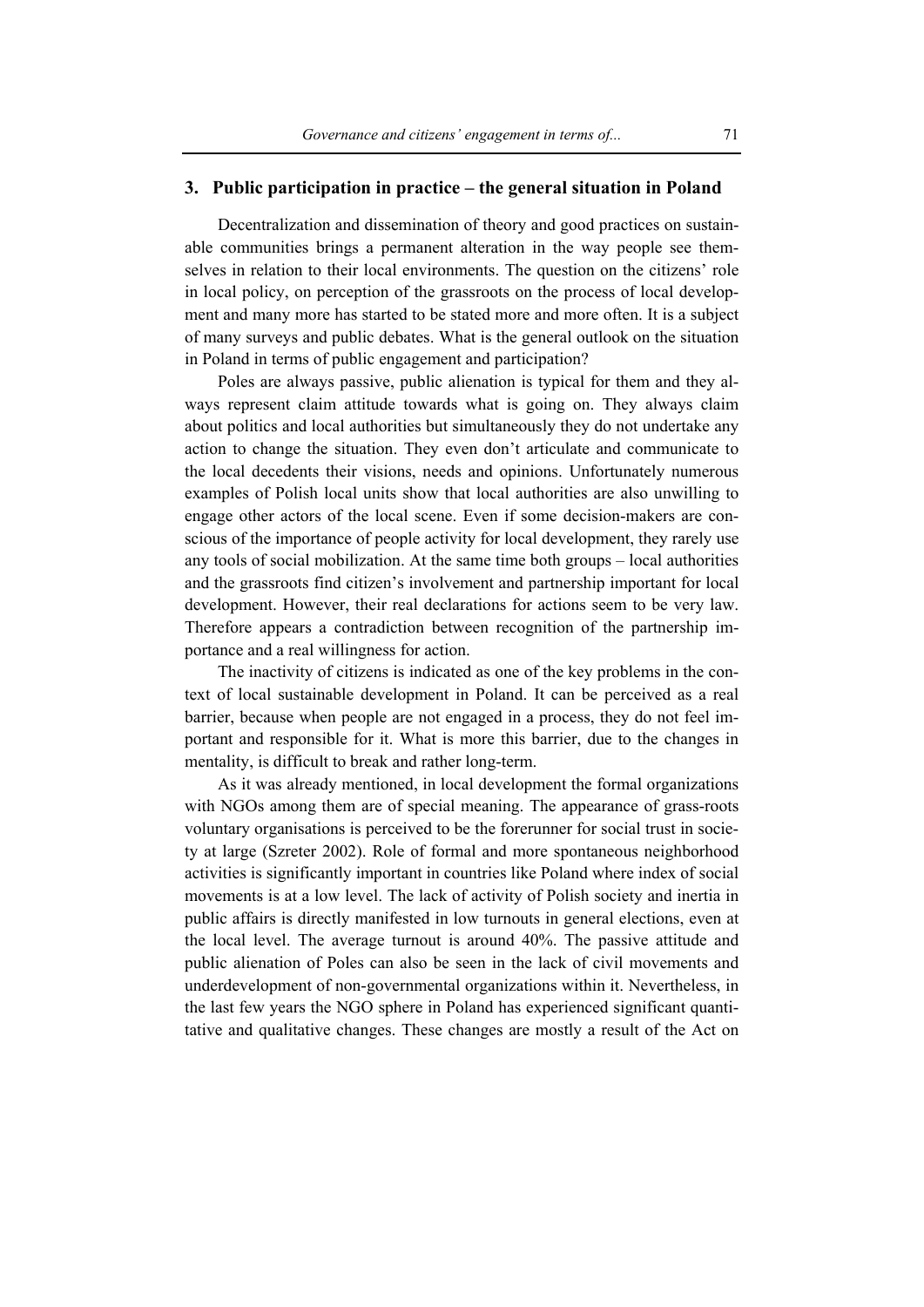### **3. Public participation in practice – the general situation in Poland**

Decentralization and dissemination of theory and good practices on sustainable communities brings a permanent alteration in the way people see themselves in relation to their local environments. The question on the citizens' role in local policy, on perception of the grassroots on the process of local development and many more has started to be stated more and more often. It is a subject of many surveys and public debates. What is the general outlook on the situation in Poland in terms of public engagement and participation?

Poles are always passive, public alienation is typical for them and they always represent claim attitude towards what is going on. They always claim about politics and local authorities but simultaneously they do not undertake any action to change the situation. They even don't articulate and communicate to the local decedents their visions, needs and opinions. Unfortunately numerous examples of Polish local units show that local authorities are also unwilling to engage other actors of the local scene. Even if some decision-makers are conscious of the importance of people activity for local development, they rarely use any tools of social mobilization. At the same time both groups – local authorities and the grassroots find citizen's involvement and partnership important for local development. However, their real declarations for actions seem to be very law. Therefore appears a contradiction between recognition of the partnership importance and a real willingness for action.

The inactivity of citizens is indicated as one of the key problems in the context of local sustainable development in Poland. It can be perceived as a real barrier, because when people are not engaged in a process, they do not feel important and responsible for it. What is more this barrier, due to the changes in mentality, is difficult to break and rather long-term.

As it was already mentioned, in local development the formal organizations with NGOs among them are of special meaning. The appearance of grass-roots voluntary organisations is perceived to be the forerunner for social trust in society at large (Szreter 2002). Role of formal and more spontaneous neighborhood activities is significantly important in countries like Poland where index of social movements is at a low level. The lack of activity of Polish society and inertia in public affairs is directly manifested in low turnouts in general elections, even at the local level. The average turnout is around 40%. The passive attitude and public alienation of Poles can also be seen in the lack of civil movements and underdevelopment of non-governmental organizations within it. Nevertheless, in the last few years the NGO sphere in Poland has experienced significant quantitative and qualitative changes. These changes are mostly a result of the Act on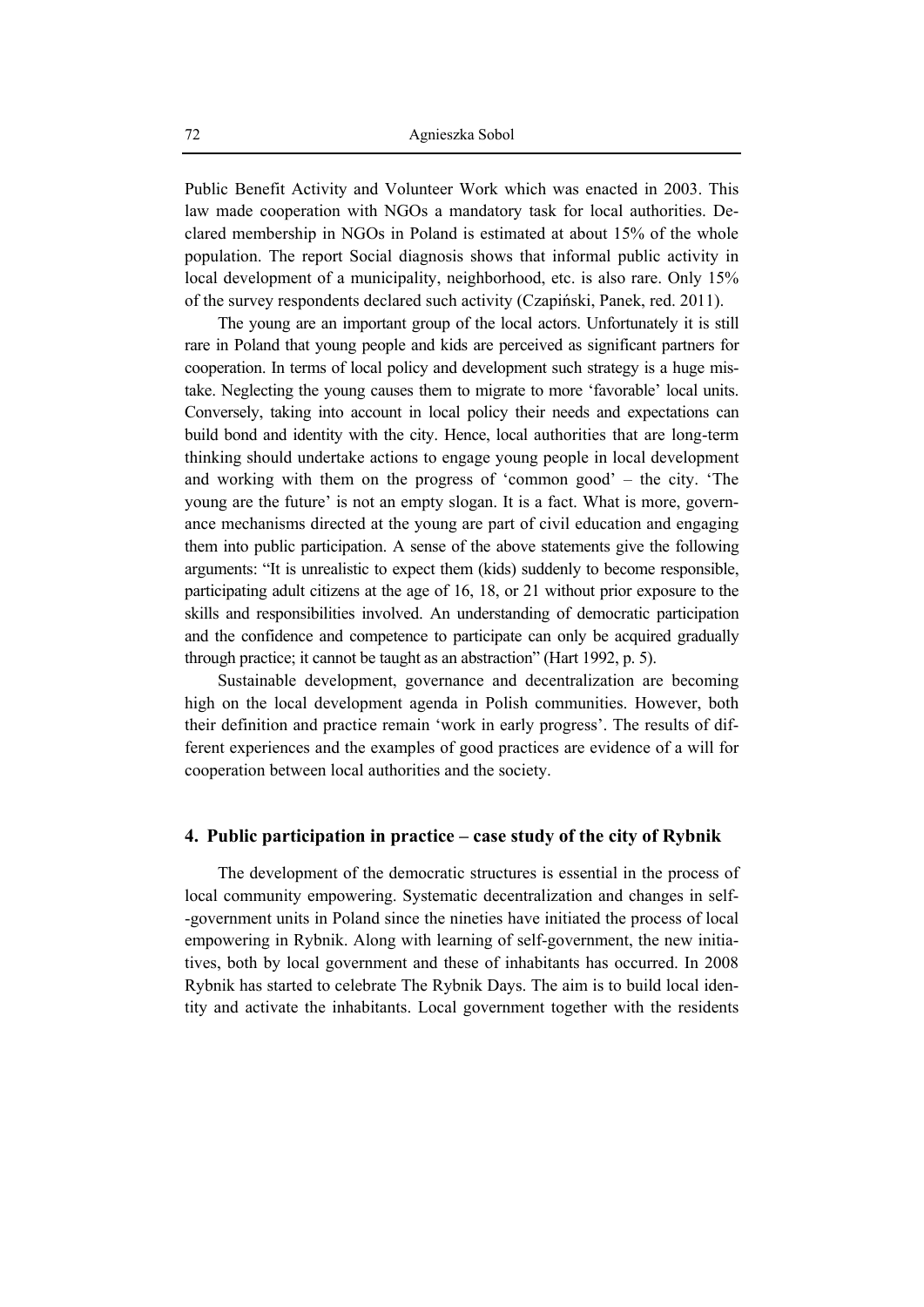Public Benefit Activity and Volunteer Work which was enacted in 2003. This law made cooperation with NGOs a mandatory task for local authorities. Declared membership in NGOs in Poland is estimated at about 15% of the whole population. The report Social diagnosis shows that informal public activity in local development of a municipality, neighborhood, etc. is also rare. Only 15% of the survey respondents declared such activity (Czapiński, Panek, red. 2011).

The young are an important group of the local actors. Unfortunately it is still rare in Poland that young people and kids are perceived as significant partners for cooperation. In terms of local policy and development such strategy is a huge mistake. Neglecting the young causes them to migrate to more 'favorable' local units. Conversely, taking into account in local policy their needs and expectations can build bond and identity with the city. Hence, local authorities that are long-term thinking should undertake actions to engage young people in local development and working with them on the progress of 'common good' – the city. 'The young are the future' is not an empty slogan. It is a fact. What is more, governance mechanisms directed at the young are part of civil education and engaging them into public participation. A sense of the above statements give the following arguments: "It is unrealistic to expect them (kids) suddenly to become responsible, participating adult citizens at the age of 16, 18, or 21 without prior exposure to the skills and responsibilities involved. An understanding of democratic participation and the confidence and competence to participate can only be acquired gradually through practice; it cannot be taught as an abstraction" (Hart 1992, p. 5).

Sustainable development, governance and decentralization are becoming high on the local development agenda in Polish communities. However, both their definition and practice remain 'work in early progress'. The results of different experiences and the examples of good practices are evidence of a will for cooperation between local authorities and the society.

#### **4. Public participation in practice – case study of the city of Rybnik**

The development of the democratic structures is essential in the process of local community empowering. Systematic decentralization and changes in self- -government units in Poland since the nineties have initiated the process of local empowering in Rybnik. Along with learning of self-government, the new initiatives, both by local government and these of inhabitants has occurred. In 2008 Rybnik has started to celebrate The Rybnik Days. The aim is to build local identity and activate the inhabitants. Local government together with the residents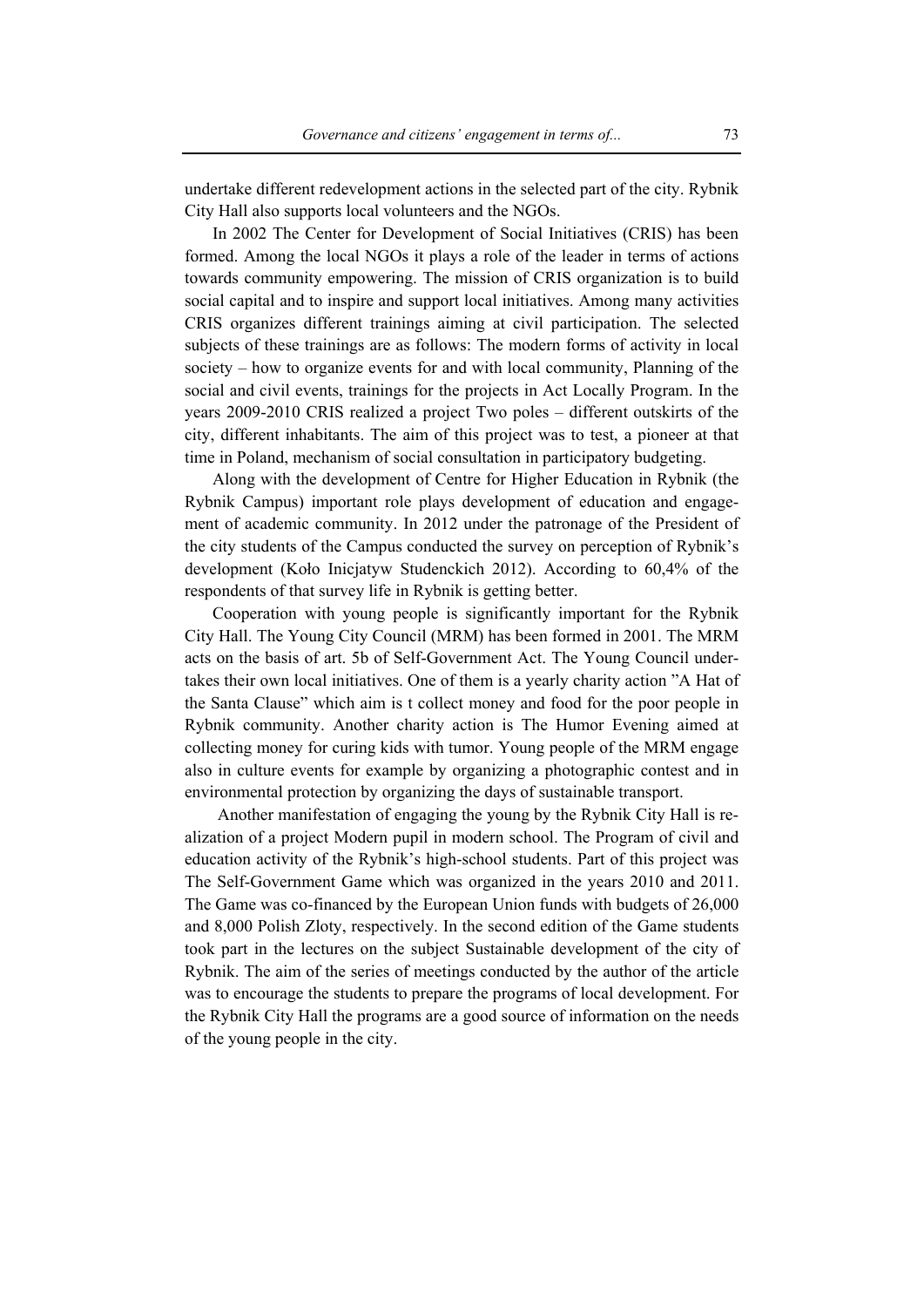undertake different redevelopment actions in the selected part of the city. Rybnik City Hall also supports local volunteers and the NGOs.

In 2002 The Center for Development of Social Initiatives (CRIS) has been formed. Among the local NGOs it plays a role of the leader in terms of actions towards community empowering. The mission of CRIS organization is to build social capital and to inspire and support local initiatives. Among many activities CRIS organizes different trainings aiming at civil participation. The selected subjects of these trainings are as follows: The modern forms of activity in local society – how to organize events for and with local community, Planning of the social and civil events, trainings for the projects in Act Locally Program. In the years 2009-2010 CRIS realized a project Two poles – different outskirts of the city, different inhabitants. The aim of this project was to test, a pioneer at that time in Poland, mechanism of social consultation in participatory budgeting.

Along with the development of Centre for Higher Education in Rybnik (the Rybnik Campus) important role plays development of education and engagement of academic community. In 2012 under the patronage of the President of the city students of the Campus conducted the survey on perception of Rybnik's development (Koło Inicjatyw Studenckich 2012). According to 60,4% of the respondents of that survey life in Rybnik is getting better.

Cooperation with young people is significantly important for the Rybnik City Hall. The Young City Council (MRM) has been formed in 2001. The MRM acts on the basis of art. 5b of Self-Government Act. The Young Council undertakes their own local initiatives. One of them is a yearly charity action "A Hat of the Santa Clause" which aim is t collect money and food for the poor people in Rybnik community. Another charity action is The Humor Evening aimed at collecting money for curing kids with tumor. Young people of the MRM engage also in culture events for example by organizing a photographic contest and in environmental protection by organizing the days of sustainable transport.

Another manifestation of engaging the young by the Rybnik City Hall is realization of a project Modern pupil in modern school. The Program of civil and education activity of the Rybnik's high-school students. Part of this project was The Self-Government Game which was organized in the years 2010 and 2011. The Game was co-financed by the European Union funds with budgets of 26,000 and 8,000 Polish Zloty, respectively. In the second edition of the Game students took part in the lectures on the subject Sustainable development of the city of Rybnik. The aim of the series of meetings conducted by the author of the article was to encourage the students to prepare the programs of local development. For the Rybnik City Hall the programs are a good source of information on the needs of the young people in the city.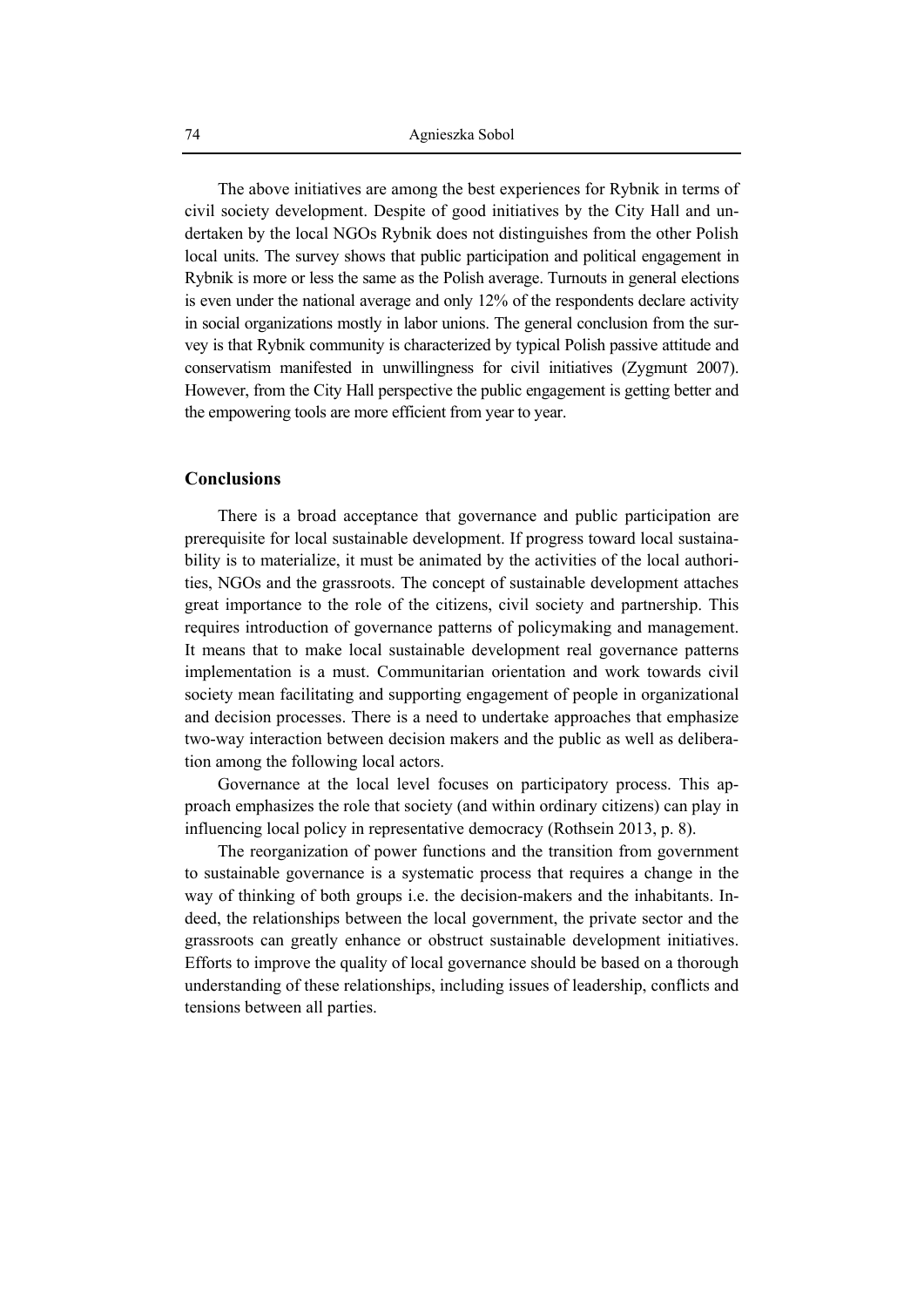The above initiatives are among the best experiences for Rybnik in terms of civil society development. Despite of good initiatives by the City Hall and undertaken by the local NGOs Rybnik does not distinguishes from the other Polish local units. The survey shows that public participation and political engagement in Rybnik is more or less the same as the Polish average. Turnouts in general elections is even under the national average and only 12% of the respondents declare activity in social organizations mostly in labor unions. The general conclusion from the survey is that Rybnik community is characterized by typical Polish passive attitude and conservatism manifested in unwillingness for civil initiatives (Zygmunt 2007). However, from the City Hall perspective the public engagement is getting better and the empowering tools are more efficient from year to year.

#### **Conclusions**

There is a broad acceptance that governance and public participation are prerequisite for local sustainable development. If progress toward local sustainability is to materialize, it must be animated by the activities of the local authorities, NGOs and the grassroots. The concept of sustainable development attaches great importance to the role of the citizens, civil society and partnership. This requires introduction of governance patterns of policymaking and management. It means that to make local sustainable development real governance patterns implementation is a must. Communitarian orientation and work towards civil society mean facilitating and supporting engagement of people in organizational and decision processes. There is a need to undertake approaches that emphasize two-way interaction between decision makers and the public as well as deliberation among the following local actors.

Governance at the local level focuses on participatory process. This approach emphasizes the role that society (and within ordinary citizens) can play in influencing local policy in representative democracy (Rothsein 2013, p. 8).

The reorganization of power functions and the transition from government to sustainable governance is a systematic process that requires a change in the way of thinking of both groups i.e. the decision-makers and the inhabitants. Indeed, the relationships between the local government, the private sector and the grassroots can greatly enhance or obstruct sustainable development initiatives. Efforts to improve the quality of local governance should be based on a thorough understanding of these relationships, including issues of leadership, conflicts and tensions between all parties.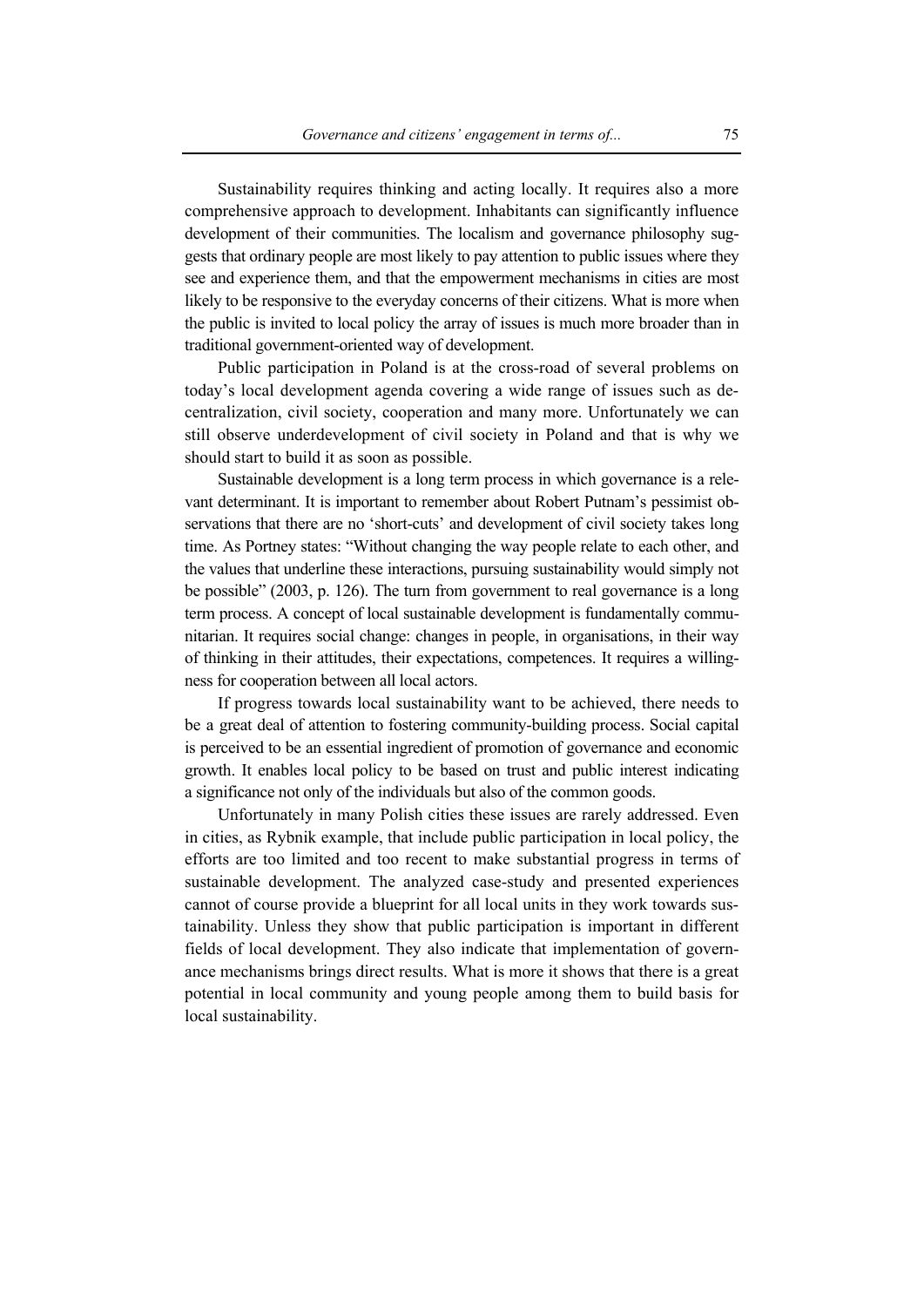Sustainability requires thinking and acting locally. It requires also a more comprehensive approach to development. Inhabitants can significantly influence development of their communities. The localism and governance philosophy suggests that ordinary people are most likely to pay attention to public issues where they see and experience them, and that the empowerment mechanisms in cities are most likely to be responsive to the everyday concerns of their citizens. What is more when the public is invited to local policy the array of issues is much more broader than in traditional government-oriented way of development.

Public participation in Poland is at the cross-road of several problems on today's local development agenda covering a wide range of issues such as decentralization, civil society, cooperation and many more. Unfortunately we can still observe underdevelopment of civil society in Poland and that is why we should start to build it as soon as possible.

Sustainable development is a long term process in which governance is a relevant determinant. It is important to remember about Robert Putnam's pessimist observations that there are no 'short-cuts' and development of civil society takes long time. As Portney states: "Without changing the way people relate to each other, and the values that underline these interactions, pursuing sustainability would simply not be possible" (2003, p. 126). The turn from government to real governance is a long term process. A concept of local sustainable development is fundamentally communitarian. It requires social change: changes in people, in organisations, in their way of thinking in their attitudes, their expectations, competences. It requires a willingness for cooperation between all local actors.

If progress towards local sustainability want to be achieved, there needs to be a great deal of attention to fostering community-building process. Social capital is perceived to be an essential ingredient of promotion of governance and economic growth. It enables local policy to be based on trust and public interest indicating a significance not only of the individuals but also of the common goods.

Unfortunately in many Polish cities these issues are rarely addressed. Even in cities, as Rybnik example, that include public participation in local policy, the efforts are too limited and too recent to make substantial progress in terms of sustainable development. The analyzed case-study and presented experiences cannot of course provide a blueprint for all local units in they work towards sustainability. Unless they show that public participation is important in different fields of local development. They also indicate that implementation of governance mechanisms brings direct results. What is more it shows that there is a great potential in local community and young people among them to build basis for local sustainability.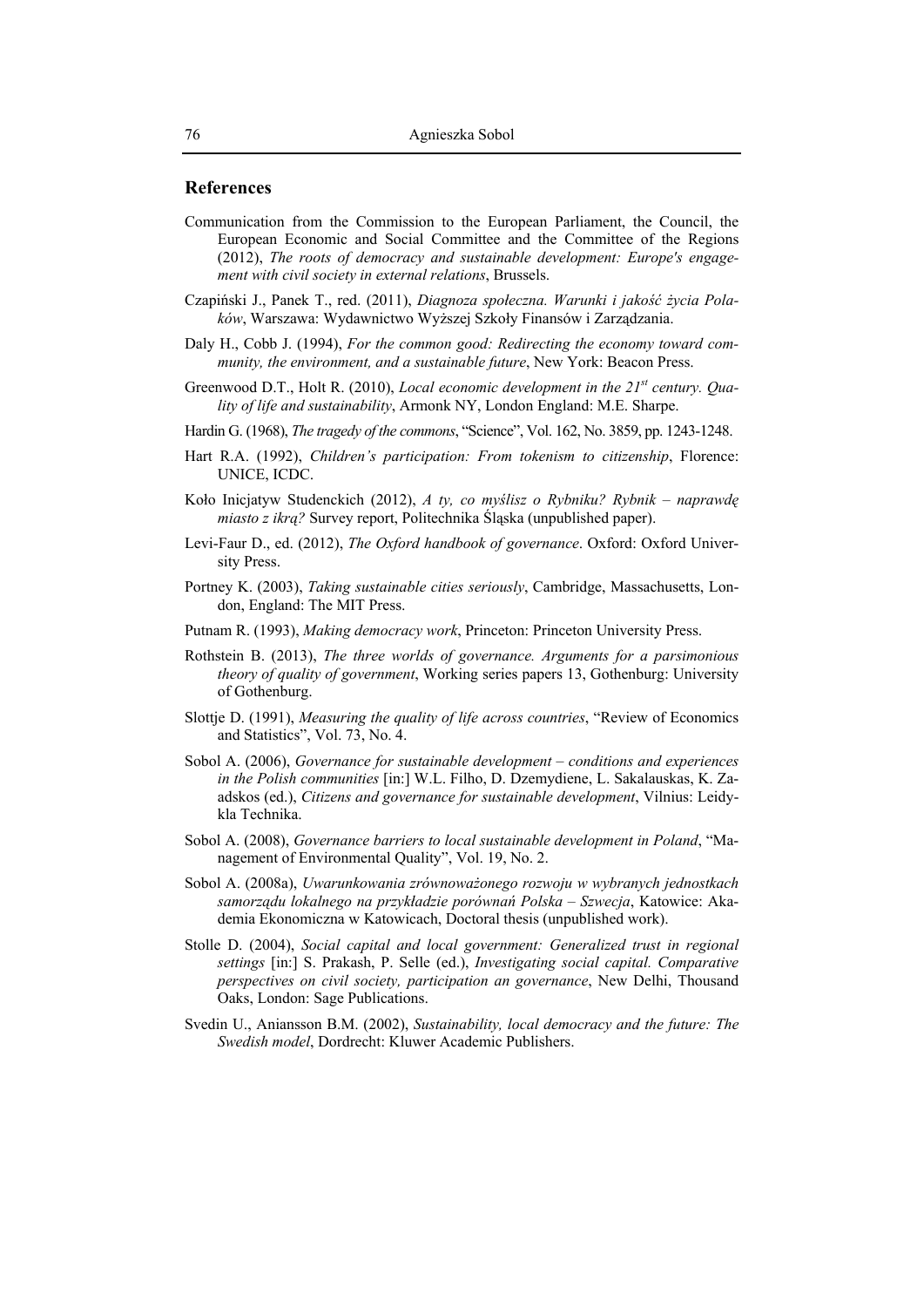#### **References**

- Communication from the Commission to the European Parliament, the Council, the European Economic and Social Committee and the Committee of the Regions (2012), *The roots of democracy and sustainable development: Europe's engagement with civil society in external relations*, Brussels.
- Czapiński J., Panek T., red. (2011), *Diagnoza społeczna. Warunki i jakość życia Polaków*, Warszawa: Wydawnictwo Wyższej Szkoły Finansów i Zarządzania.
- Daly H., Cobb J. (1994), *For the common good: Redirecting the economy toward community, the environment, and a sustainable future*, New York: Beacon Press.
- Greenwood D.T., Holt R. (2010), *Local economic development in the 21st century. Quality of life and sustainability*, Armonk NY, London England: M.E. Sharpe.
- Hardin G. (1968), *The tragedy of the commons*, "Science", Vol. 162, No. 3859, pp. 1243-1248.
- Hart R.A. (1992), *Children's participation: From tokenism to citizenship*, Florence: UNICE, ICDC.
- Koło Inicjatyw Studenckich (2012), *A ty, co myślisz o Rybniku? Rybnik naprawdę miasto z ikrą?* Survey report, Politechnika Śląska (unpublished paper).
- Levi-Faur D., ed. (2012), *The Oxford handbook of governance*. Oxford: Oxford University Press.
- Portney K. (2003), *Taking sustainable cities seriously*, Cambridge, Massachusetts, London, England: The MIT Press.
- Putnam R. (1993), *Making democracy work*, Princeton: Princeton University Press.
- Rothstein B. (2013), *The three worlds of governance. Arguments for a parsimonious theory of quality of government*, Working series papers 13, Gothenburg: University of Gothenburg.
- Slottje D. (1991), *Measuring the quality of life across countries*, "Review of Economics and Statistics", Vol. 73, No. 4.
- Sobol A. (2006), *Governance for sustainable development conditions and experiences in the Polish communities* [in:] W.L. Filho, D. Dzemydiene, L. Sakalauskas, K. Zaadskos (ed.), *Citizens and governance for sustainable development*, Vilnius: Leidykla Technika.
- Sobol A. (2008), *Governance barriers to local sustainable development in Poland*, "Management of Environmental Quality", Vol. 19, No. 2.
- Sobol A. (2008a), *Uwarunkowania zrównoważonego rozwoju w wybranych jednostkach samorządu lokalnego na przykładzie porównań Polska – Szwecja*, Katowice: Akademia Ekonomiczna w Katowicach, Doctoral thesis (unpublished work).
- Stolle D. (2004), *Social capital and local government: Generalized trust in regional settings* [in:] S. Prakash, P. Selle (ed.), *Investigating social capital. Comparative perspectives on civil society, participation an governance*, New Delhi, Thousand Oaks, London: Sage Publications.
- Svedin U., Aniansson B.M. (2002), *Sustainability, local democracy and the future: The Swedish model*, Dordrecht: Kluwer Academic Publishers.